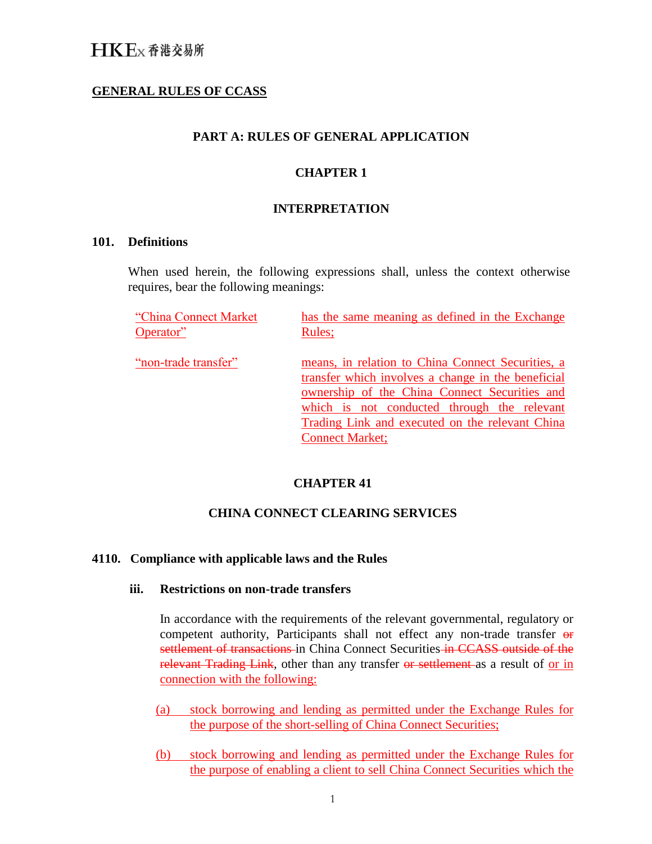# **GENERAL RULES OF CCASS**

### **PART A: RULES OF GENERAL APPLICATION**

### **CHAPTER 1**

#### **INTERPRETATION**

#### **101. Definitions**

When used herein, the following expressions shall, unless the context otherwise requires, bear the following meanings:

"China Connect Market Operator" has the same meaning as defined in the Exchange Rules; "non-trade transfer" means, in relation to China Connect Securities, a transfer which involves a change in the beneficial ownership of the China Connect Securities and which is not conducted through the relevant Trading Link and executed on the relevant China Connect Market;

### **CHAPTER 41**

## **CHINA CONNECT CLEARING SERVICES**

### **4110. Compliance with applicable laws and the Rules**

#### **iii. Restrictions on non-trade transfers**

In accordance with the requirements of the relevant governmental, regulatory or competent authority, Participants shall not effect any non-trade transfer or settlement of transactions in China Connect Securities in CCASS outside of the relevant Trading Link, other than any transfer or settlement as a result of or in connection with the following:

- (a) stock borrowing and lending as permitted under the Exchange Rules for the purpose of the short-selling of China Connect Securities;
- (b) stock borrowing and lending as permitted under the Exchange Rules for the purpose of enabling a client to sell China Connect Securities which the